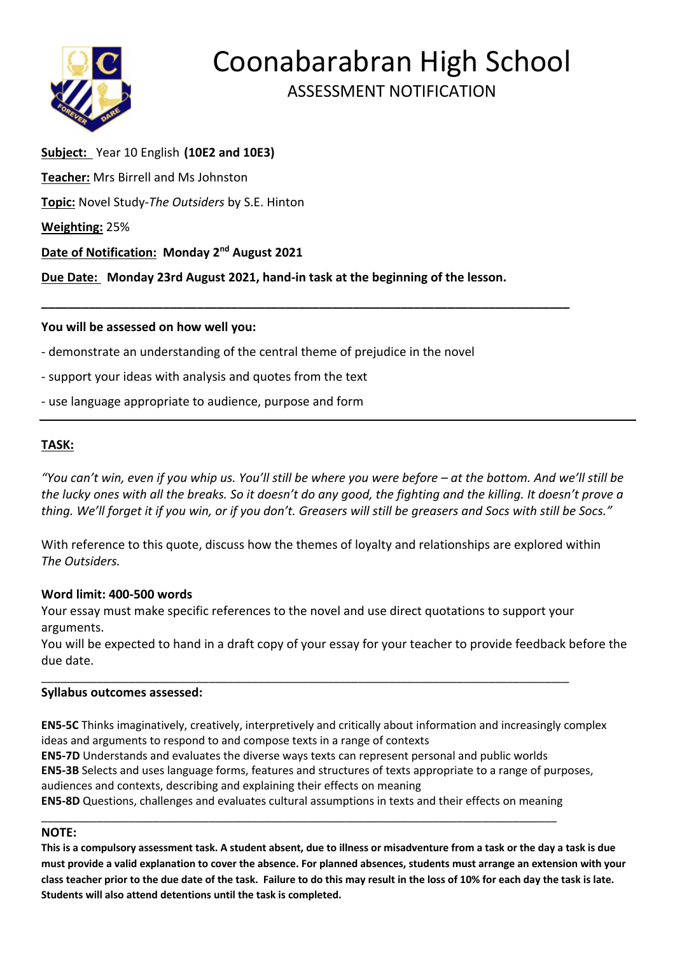

# Coonabarabran High School ASSESSMENT NOTIFICATION

# **Subject:** Year 10 English **(10E2 and 10E3) Teacher:** Mrs Birrell and Ms Johnston **Topic:** Novel Study-*The Outsiders* by S.E. Hinton **Weighting:** 25% **Date of Notification: Monday 2nd August 2021**

**Due Date: Monday 23rd August 2021, hand-in task at the beginning of the lesson.**

**\_\_\_\_\_\_\_\_\_\_\_\_\_\_\_\_\_\_\_\_\_\_\_\_\_\_\_\_\_\_\_\_\_\_\_\_\_\_\_\_\_\_\_\_\_\_\_\_\_\_\_\_\_\_\_\_\_\_\_\_\_\_\_\_\_\_\_\_\_\_\_\_\_\_\_\_\_\_**

### **You will be assessed on how well you:**

- demonstrate an understanding of the central theme of prejudice in the novel
- support your ideas with analysis and quotes from the text
- use language appropriate to audience, purpose and form

### **TASK:**

"You can't win, even if you whip us. You'll still be where you were before – at the bottom. And we'll still be the lucky ones with all the breaks. So it doesn't do any good, the fighting and the killing. It doesn't prove a thing. We'll forget it if you win, or if you don't. Greasers will still be greasers and Socs with still be Socs."

With reference to this quote, discuss how the themes of loyalty and relationships are explored within *The Outsiders.*

#### **Word limit: 400-500 words**

Your essay must make specific references to the novel and use direct quotations to support your arguments.

\_\_\_\_\_\_\_\_\_\_\_\_\_\_\_\_\_\_\_\_\_\_\_\_\_\_\_\_\_\_\_\_\_\_\_\_\_\_\_\_\_\_\_\_\_\_\_\_\_\_\_\_\_\_\_\_\_\_\_\_\_\_\_\_\_\_\_\_\_\_\_\_\_\_\_\_\_\_\_\_\_\_\_\_\_

You will be expected to hand in a draft copy of your essay for your teacher to provide feedback before the due date.

#### **Syllabus outcomes assessed:**

**EN5-5C** Thinks imaginatively, creatively, interpretively and critically about information and increasingly complex ideas and arguments to respond to and compose texts in a range of contexts

**EN5-7D** Understands and evaluates the diverse ways texts can represent personal and public worlds **EN5-3B** Selects and uses language forms, features and structures of texts appropriate to a range of purposes, audiences and contexts, describing and explaining their effects on meaning

**EN5-8D** Questions, challenges and evaluates cultural assumptions in texts and their effects on meaning \_\_\_\_\_\_\_\_\_\_\_\_\_\_\_\_\_\_\_\_\_\_\_\_\_\_\_\_\_\_\_\_\_\_\_\_\_\_\_\_\_\_\_\_\_\_\_\_\_\_\_\_\_\_\_\_\_\_\_\_\_\_\_\_\_\_\_\_\_\_\_\_\_\_\_\_\_\_\_\_\_\_\_

## **NOTE:**

**This is a compulsory assessment task. A student absent, due to illness or misadventure from a task or the day a task is due must provide a valid explanation to cover the absence. For planned absences, students must arrange an extension with your class teacher prior to the due date of the task. Failure to do this may result in the loss of 10% for each day the task is late. Students will also attend detentions until the task is completed.**